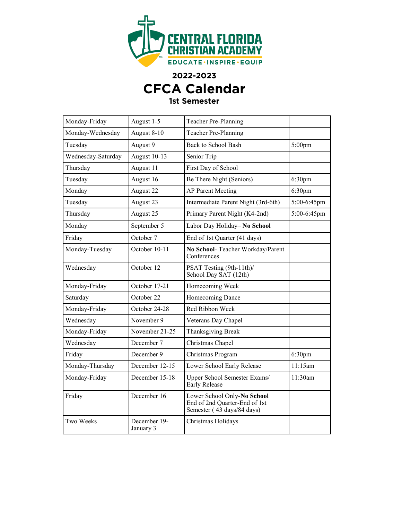

**2022-2023**

## **CFCA Calendar**

## **1st Semester**

| Monday-Friday      | August 1-5                | Teacher Pre-Planning                                                                       |                    |
|--------------------|---------------------------|--------------------------------------------------------------------------------------------|--------------------|
| Monday-Wednesday   | August 8-10               | Teacher Pre-Planning                                                                       |                    |
| Tuesday            | August 9                  | <b>Back to School Bash</b>                                                                 | $5:00$ pm          |
| Wednesday-Saturday | August 10-13              | Senior Trip                                                                                |                    |
| Thursday           | August 11                 | First Day of School                                                                        |                    |
| Tuesday            | August 16                 | Be There Night (Seniors)                                                                   | 6:30pm             |
| Monday             | August 22                 | <b>AP Parent Meeting</b>                                                                   | 6:30pm             |
| Tuesday            | August 23                 | Intermediate Parent Night (3rd-6th)                                                        | 5:00-6:45pm        |
| Thursday           | August 25                 | Primary Parent Night (K4-2nd)                                                              | 5:00-6:45pm        |
| Monday             | September 5               | Labor Day Holiday- No School                                                               |                    |
| Friday             | October 7                 | End of 1st Quarter (41 days)                                                               |                    |
| Monday-Tuesday     | October 10-11             | No School- Teacher Workday/Parent<br>Conferences                                           |                    |
| Wednesday          | October 12                | PSAT Testing (9th-11th)/<br>School Day SAT (12th)                                          |                    |
| Monday-Friday      | October 17-21             | Homecoming Week                                                                            |                    |
| Saturday           | October 22                | Homecoming Dance                                                                           |                    |
| Monday-Friday      | October 24-28             | Red Ribbon Week                                                                            |                    |
| Wednesday          | November 9                | Veterans Day Chapel                                                                        |                    |
| Monday-Friday      | November 21-25            | <b>Thanksgiving Break</b>                                                                  |                    |
| Wednesday          | December 7                | Christmas Chapel                                                                           |                    |
| Friday             | December 9                | Christmas Program                                                                          | 6:30 <sub>pm</sub> |
| Monday-Thursday    | December 12-15            | Lower School Early Release                                                                 | 11:15am            |
| Monday-Friday      | December 15-18            | Upper School Semester Exams/<br><b>Early Release</b>                                       | 11:30am            |
| Friday             | December 16               | Lower School Only-No School<br>End of 2nd Quarter-End of 1st<br>Semester (43 days/84 days) |                    |
| Two Weeks          | December 19-<br>January 3 | Christmas Holidays                                                                         |                    |